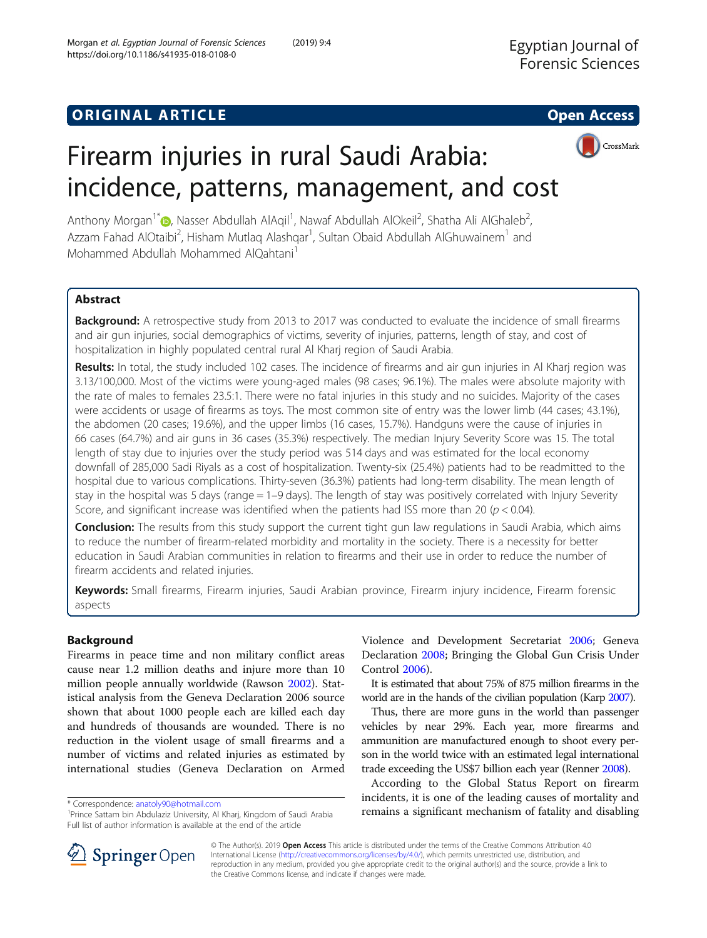## **ORIGINAL ARTICLE CONSERVANCE IN A LOCAL CONSERVANCE IN A LOCAL CONSERVANCE IN A LOCAL CONSERVANCE IN A LOCAL CONS**



# Firearm injuries in rural Saudi Arabia: incidence, patterns, management, and cost

Anthony Morgan<sup>1[\\*](http://orcid.org/0000-0003-4142-5622)</sup>®, Nasser Abdullah AlAqil<sup>1</sup>, Nawaf Abdullah AlOkeil<sup>2</sup>, Shatha Ali AlGhaleb<sup>2</sup> , Azzam Fahad AlOtaibi<sup>2</sup>, Hisham Mutlaq Alashqar<sup>1</sup>, Sultan Obaid Abdullah AlGhuwainem<sup>1</sup> and Mohammed Abdullah Mohammed AlQahtani<sup>1</sup>

## Abstract

Background: A retrospective study from 2013 to 2017 was conducted to evaluate the incidence of small firearms and air gun injuries, social demographics of victims, severity of injuries, patterns, length of stay, and cost of hospitalization in highly populated central rural Al Kharj region of Saudi Arabia.

Results: In total, the study included 102 cases. The incidence of firearms and air gun injuries in Al Kharj region was 3.13/100,000. Most of the victims were young-aged males (98 cases; 96.1%). The males were absolute majority with the rate of males to females 23.5:1. There were no fatal injuries in this study and no suicides. Majority of the cases were accidents or usage of firearms as toys. The most common site of entry was the lower limb (44 cases; 43.1%), the abdomen (20 cases; 19.6%), and the upper limbs (16 cases, 15.7%). Handguns were the cause of injuries in 66 cases (64.7%) and air guns in 36 cases (35.3%) respectively. The median Injury Severity Score was 15. The total length of stay due to injuries over the study period was 514 days and was estimated for the local economy downfall of 285,000 Sadi Riyals as a cost of hospitalization. Twenty-six (25.4%) patients had to be readmitted to the hospital due to various complications. Thirty-seven (36.3%) patients had long-term disability. The mean length of stay in the hospital was 5 days (range = 1–9 days). The length of stay was positively correlated with Injury Severity Score, and significant increase was identified when the patients had ISS more than 20 ( $p < 0.04$ ).

**Conclusion:** The results from this study support the current tight gun law regulations in Saudi Arabia, which aims to reduce the number of firearm-related morbidity and mortality in the society. There is a necessity for better education in Saudi Arabian communities in relation to firearms and their use in order to reduce the number of firearm accidents and related injuries.

Keywords: Small firearms, Firearm injuries, Saudi Arabian province, Firearm injury incidence, Firearm forensic aspects

## Background

Firearms in peace time and non military conflict areas cause near 1.2 million deaths and injure more than 10 million people annually worldwide (Rawson [2002](#page-6-0)). Statistical analysis from the Geneva Declaration 2006 source shown that about 1000 people each are killed each day and hundreds of thousands are wounded. There is no reduction in the violent usage of small firearms and a number of victims and related injuries as estimated by international studies (Geneva Declaration on Armed

Violence and Development Secretariat [2006](#page-6-0); Geneva Declaration [2008](#page-6-0); Bringing the Global Gun Crisis Under Control [2006\)](#page-6-0).

It is estimated that about 75% of 875 million firearms in the world are in the hands of the civilian population (Karp [2007\)](#page-6-0).

Thus, there are more guns in the world than passenger vehicles by near 29%. Each year, more firearms and ammunition are manufactured enough to shoot every person in the world twice with an estimated legal international trade exceeding the US\$7 billion each year (Renner [2008](#page-6-0)).

According to the Global Status Report on firearm incidents, it is one of the leading causes of mortality and \* Correspondence: [anatoly90@hotmail.com](mailto:anatoly90@hotmail.com) **and all community and disabling to the control of the fatality and disabling the Sattam bin Abdulaziz University. Al Khari, Kingdom of Saudi Arabia <b>1990. Temains a significant mech** 



© The Author(s). 2019 Open Access This article is distributed under the terms of the Creative Commons Attribution 4.0 International License ([http://creativecommons.org/licenses/by/4.0/\)](http://creativecommons.org/licenses/by/4.0/), which permits unrestricted use, distribution, and reproduction in any medium, provided you give appropriate credit to the original author(s) and the source, provide a link to the Creative Commons license, and indicate if changes were made.

<sup>&</sup>lt;sup>1</sup> Prince Sattam bin Abdulaziz University, Al Kharj, Kingdom of Saudi Arabia Full list of author information is available at the end of the article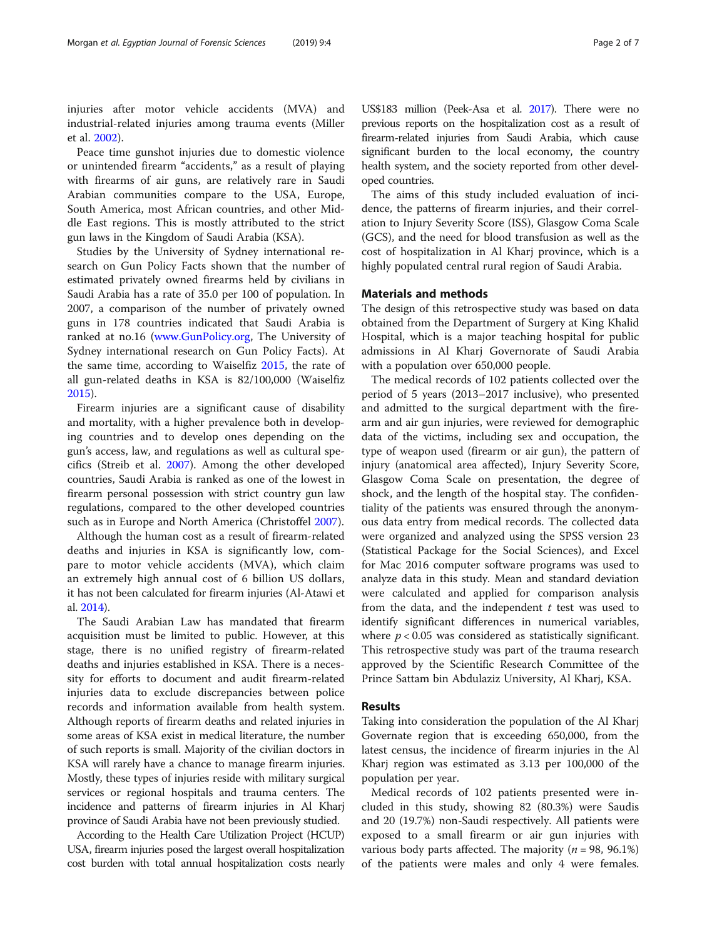injuries after motor vehicle accidents (MVA) and industrial-related injuries among trauma events (Miller et al. [2002\)](#page-6-0).

Peace time gunshot injuries due to domestic violence or unintended firearm "accidents," as a result of playing with firearms of air guns, are relatively rare in Saudi Arabian communities compare to the USA, Europe, South America, most African countries, and other Middle East regions. This is mostly attributed to the strict gun laws in the Kingdom of Saudi Arabia (KSA).

Studies by the University of Sydney international research on Gun Policy Facts shown that the number of estimated privately owned firearms held by civilians in Saudi Arabia has a rate of 35.0 per 100 of population. In 2007, a comparison of the number of privately owned guns in 178 countries indicated that Saudi Arabia is ranked at no.16 ([www.GunPolicy.org](https://www.GunPolicy.org), The University of Sydney international research on Gun Policy Facts). At the same time, according to Waiselfiz [2015,](#page-6-0) the rate of all gun-related deaths in KSA is 82/100,000 (Waiselfiz [2015](#page-6-0)).

Firearm injuries are a significant cause of disability and mortality, with a higher prevalence both in developing countries and to develop ones depending on the gun's access, law, and regulations as well as cultural specifics (Streib et al. [2007\)](#page-6-0). Among the other developed countries, Saudi Arabia is ranked as one of the lowest in firearm personal possession with strict country gun law regulations, compared to the other developed countries such as in Europe and North America (Christoffel [2007\)](#page-6-0).

Although the human cost as a result of firearm-related deaths and injuries in KSA is significantly low, compare to motor vehicle accidents (MVA), which claim an extremely high annual cost of 6 billion US dollars, it has not been calculated for firearm injuries (Al-Atawi et al. [2014](#page-6-0)).

The Saudi Arabian Law has mandated that firearm acquisition must be limited to public. However, at this stage, there is no unified registry of firearm-related deaths and injuries established in KSA. There is a necessity for efforts to document and audit firearm-related injuries data to exclude discrepancies between police records and information available from health system. Although reports of firearm deaths and related injuries in some areas of KSA exist in medical literature, the number of such reports is small. Majority of the civilian doctors in KSA will rarely have a chance to manage firearm injuries. Mostly, these types of injuries reside with military surgical services or regional hospitals and trauma centers. The incidence and patterns of firearm injuries in Al Kharj province of Saudi Arabia have not been previously studied.

According to the Health Care Utilization Project (HCUP) USA, firearm injuries posed the largest overall hospitalization cost burden with total annual hospitalization costs nearly

US\$183 million (Peek-Asa et al. [2017](#page-6-0)). There were no previous reports on the hospitalization cost as a result of firearm-related injuries from Saudi Arabia, which cause significant burden to the local economy, the country health system, and the society reported from other developed countries.

The aims of this study included evaluation of incidence, the patterns of firearm injuries, and their correlation to Injury Severity Score (ISS), Glasgow Coma Scale (GCS), and the need for blood transfusion as well as the cost of hospitalization in Al Kharj province, which is a highly populated central rural region of Saudi Arabia.

#### Materials and methods

The design of this retrospective study was based on data obtained from the Department of Surgery at King Khalid Hospital, which is a major teaching hospital for public admissions in Al Kharj Governorate of Saudi Arabia with a population over 650,000 people.

The medical records of 102 patients collected over the period of 5 years (2013–2017 inclusive), who presented and admitted to the surgical department with the firearm and air gun injuries, were reviewed for demographic data of the victims, including sex and occupation, the type of weapon used (firearm or air gun), the pattern of injury (anatomical area affected), Injury Severity Score, Glasgow Coma Scale on presentation, the degree of shock, and the length of the hospital stay. The confidentiality of the patients was ensured through the anonymous data entry from medical records. The collected data were organized and analyzed using the SPSS version 23 (Statistical Package for the Social Sciences), and Excel for Mac 2016 computer software programs was used to analyze data in this study. Mean and standard deviation were calculated and applied for comparison analysis from the data, and the independent  $t$  test was used to identify significant differences in numerical variables, where  $p < 0.05$  was considered as statistically significant. This retrospective study was part of the trauma research approved by the Scientific Research Committee of the Prince Sattam bin Abdulaziz University, Al Kharj, KSA.

## Results

Taking into consideration the population of the Al Kharj Governate region that is exceeding 650,000, from the latest census, the incidence of firearm injuries in the Al Kharj region was estimated as 3.13 per 100,000 of the population per year.

Medical records of 102 patients presented were included in this study, showing 82 (80.3%) were Saudis and 20 (19.7%) non-Saudi respectively. All patients were exposed to a small firearm or air gun injuries with various body parts affected. The majority ( $n = 98, 96.1\%$ ) of the patients were males and only 4 were females.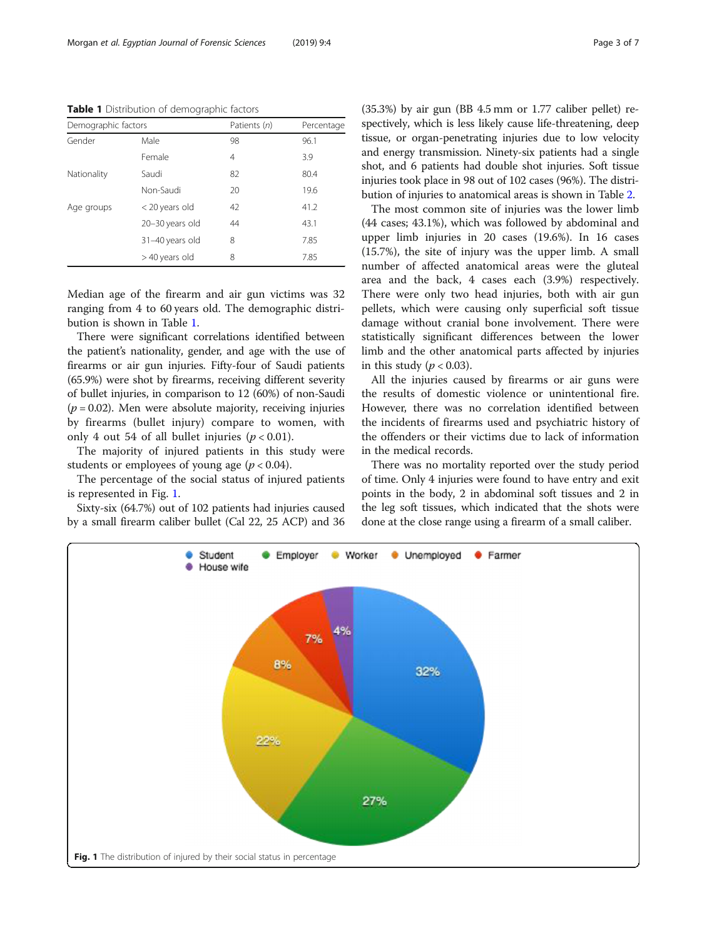Table 1 Distribution of demographic factors

| Demographic factors |                 | Patients (n) | Percentage |
|---------------------|-----------------|--------------|------------|
| Gender              | Male            | 98           | 96.1       |
|                     | Female          | 4            | 3.9        |
| Nationality         | Saudi           | 82           | 80.4       |
|                     | Non-Saudi       | 20           | 19.6       |
| Age groups          | < 20 years old  | 42           | 41.2       |
|                     | 20-30 years old | 44           | 43.1       |
|                     | 31-40 years old | 8            | 7.85       |
|                     | > 40 years old  | 8            | 7.85       |

Median age of the firearm and air gun victims was 32 ranging from 4 to 60 years old. The demographic distribution is shown in Table 1.

There were significant correlations identified between the patient's nationality, gender, and age with the use of firearms or air gun injuries. Fifty-four of Saudi patients (65.9%) were shot by firearms, receiving different severity of bullet injuries, in comparison to 12 (60%) of non-Saudi  $(p = 0.02)$ . Men were absolute majority, receiving injuries by firearms (bullet injury) compare to women, with only 4 out 54 of all bullet injuries  $(p < 0.01)$ .

The majority of injured patients in this study were students or employees of young age ( $p < 0.04$ ).

The percentage of the social status of injured patients is represented in Fig. 1.

Sixty-six (64.7%) out of 102 patients had injuries caused by a small firearm caliber bullet (Cal 22, 25 ACP) and 36 (35.3%) by air gun (BB 4.5 mm or 1.77 caliber pellet) respectively, which is less likely cause life-threatening, deep tissue, or organ-penetrating injuries due to low velocity and energy transmission. Ninety-six patients had a single shot, and 6 patients had double shot injuries. Soft tissue injuries took place in 98 out of 102 cases (96%). The distribution of injuries to anatomical areas is shown in Table [2](#page-3-0).

The most common site of injuries was the lower limb (44 cases; 43.1%), which was followed by abdominal and upper limb injuries in 20 cases (19.6%). In 16 cases (15.7%), the site of injury was the upper limb. A small number of affected anatomical areas were the gluteal area and the back, 4 cases each (3.9%) respectively. There were only two head injuries, both with air gun pellets, which were causing only superficial soft tissue damage without cranial bone involvement. There were statistically significant differences between the lower limb and the other anatomical parts affected by injuries in this study ( $p < 0.03$ ).

All the injuries caused by firearms or air guns were the results of domestic violence or unintentional fire. However, there was no correlation identified between the incidents of firearms used and psychiatric history of the offenders or their victims due to lack of information in the medical records.

There was no mortality reported over the study period of time. Only 4 injuries were found to have entry and exit points in the body, 2 in abdominal soft tissues and 2 in the leg soft tissues, which indicated that the shots were done at the close range using a firearm of a small caliber.

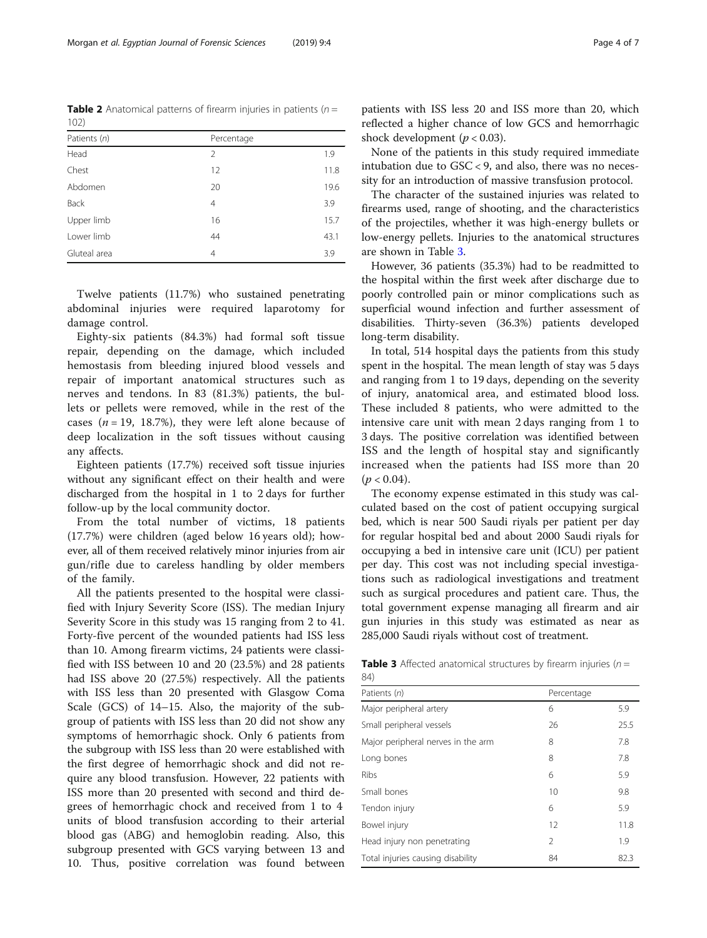<span id="page-3-0"></span>**Table 2** Anatomical patterns of firearm injuries in patients ( $n =$ 102)

| Patients (n) | Percentage     |      |
|--------------|----------------|------|
| Head         | 2              | 1.9  |
| Chest        | 12             | 11.8 |
| Abdomen      | 20             | 19.6 |
| <b>Back</b>  | $\overline{4}$ | 3.9  |
| Upper limb   | 16             | 15.7 |
| Lower limb   | 44             | 43.1 |
| Gluteal area | 4              | 3.9  |

Twelve patients (11.7%) who sustained penetrating abdominal injuries were required laparotomy for damage control.

Eighty-six patients (84.3%) had formal soft tissue repair, depending on the damage, which included hemostasis from bleeding injured blood vessels and repair of important anatomical structures such as nerves and tendons. In 83 (81.3%) patients, the bullets or pellets were removed, while in the rest of the cases ( $n = 19$ , 18.7%), they were left alone because of deep localization in the soft tissues without causing any affects.

Eighteen patients (17.7%) received soft tissue injuries without any significant effect on their health and were discharged from the hospital in 1 to 2 days for further follow-up by the local community doctor.

From the total number of victims, 18 patients (17.7%) were children (aged below 16 years old); however, all of them received relatively minor injuries from air gun/rifle due to careless handling by older members of the family.

All the patients presented to the hospital were classified with Injury Severity Score (ISS). The median Injury Severity Score in this study was 15 ranging from 2 to 41. Forty-five percent of the wounded patients had ISS less than 10. Among firearm victims, 24 patients were classified with ISS between 10 and 20 (23.5%) and 28 patients had ISS above 20 (27.5%) respectively. All the patients with ISS less than 20 presented with Glasgow Coma Scale (GCS) of 14–15. Also, the majority of the subgroup of patients with ISS less than 20 did not show any symptoms of hemorrhagic shock. Only 6 patients from the subgroup with ISS less than 20 were established with the first degree of hemorrhagic shock and did not require any blood transfusion. However, 22 patients with ISS more than 20 presented with second and third degrees of hemorrhagic chock and received from 1 to 4 units of blood transfusion according to their arterial blood gas (ABG) and hemoglobin reading. Also, this subgroup presented with GCS varying between 13 and 10. Thus, positive correlation was found between

patients with ISS less 20 and ISS more than 20, which reflected a higher chance of low GCS and hemorrhagic shock development ( $p < 0.03$ ).

None of the patients in this study required immediate intubation due to GSC < 9, and also, there was no necessity for an introduction of massive transfusion protocol.

The character of the sustained injuries was related to firearms used, range of shooting, and the characteristics of the projectiles, whether it was high-energy bullets or low-energy pellets. Injuries to the anatomical structures are shown in Table 3.

However, 36 patients (35.3%) had to be readmitted to the hospital within the first week after discharge due to poorly controlled pain or minor complications such as superficial wound infection and further assessment of disabilities. Thirty-seven (36.3%) patients developed long-term disability.

In total, 514 hospital days the patients from this study spent in the hospital. The mean length of stay was 5 days and ranging from 1 to 19 days, depending on the severity of injury, anatomical area, and estimated blood loss. These included 8 patients, who were admitted to the intensive care unit with mean 2 days ranging from 1 to 3 days. The positive correlation was identified between ISS and the length of hospital stay and significantly increased when the patients had ISS more than 20  $(p < 0.04)$ .

The economy expense estimated in this study was calculated based on the cost of patient occupying surgical bed, which is near 500 Saudi riyals per patient per day for regular hospital bed and about 2000 Saudi riyals for occupying a bed in intensive care unit (ICU) per patient per day. This cost was not including special investigations such as radiological investigations and treatment such as surgical procedures and patient care. Thus, the total government expense managing all firearm and air gun injuries in this study was estimated as near as 285,000 Saudi riyals without cost of treatment.

**Table 3** Affected anatomical structures by firearm injuries ( $n =$ 84)

| Patients (n)                       | Percentage     |      |
|------------------------------------|----------------|------|
| Major peripheral artery            | 6              | 5.9  |
| Small peripheral vessels           | 26             | 25.5 |
| Major peripheral nerves in the arm | 8              | 7.8  |
| Long bones                         | 8              | 7.8  |
| Ribs                               | 6              | 5.9  |
| Small bones                        | 10             | 9.8  |
| Tendon injury                      | 6              | 5.9  |
| Bowel injury                       | 12             | 11.8 |
| Head injury non penetrating        | $\mathfrak{D}$ | 1.9  |
| Total injuries causing disability  | 84             | 82.3 |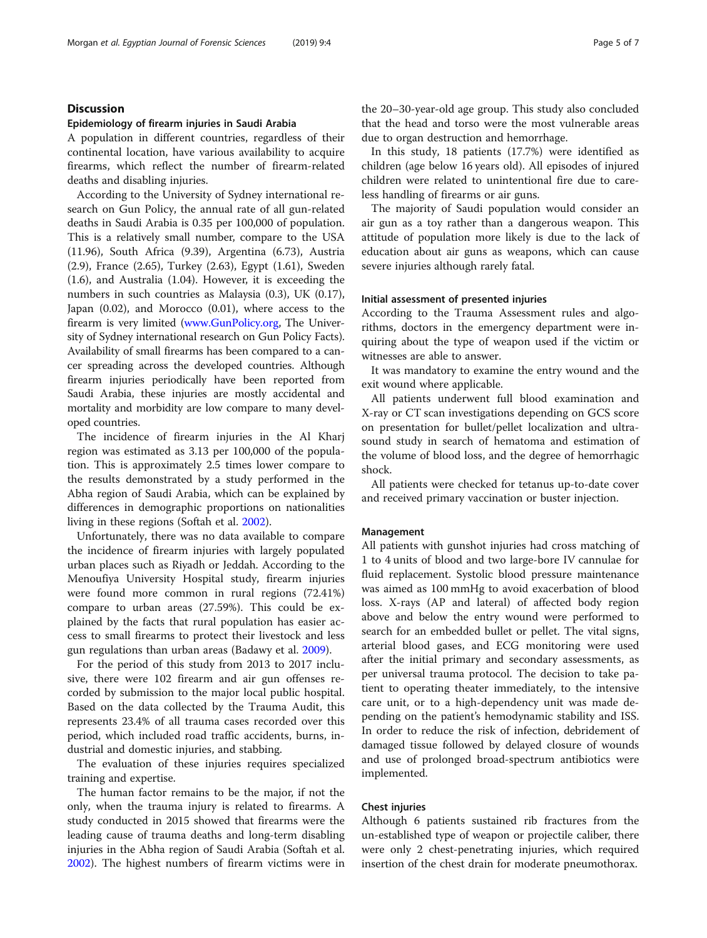## **Discussion**

## Epidemiology of firearm injuries in Saudi Arabia

A population in different countries, regardless of their continental location, have various availability to acquire firearms, which reflect the number of firearm-related deaths and disabling injuries.

According to the University of Sydney international research on Gun Policy, the annual rate of all gun-related deaths in Saudi Arabia is 0.35 per 100,000 of population. This is a relatively small number, compare to the USA (11.96), South Africa (9.39), Argentina (6.73), Austria (2.9), France (2.65), Turkey (2.63), Egypt (1.61), Sweden (1.6), and Australia (1.04). However, it is exceeding the numbers in such countries as Malaysia (0.3), UK (0.17), Japan (0.02), and Morocco (0.01), where access to the firearm is very limited [\(www.GunPolicy.org,](https://www.GunPolicy.org) The University of Sydney international research on Gun Policy Facts). Availability of small firearms has been compared to a cancer spreading across the developed countries. Although firearm injuries periodically have been reported from Saudi Arabia, these injuries are mostly accidental and mortality and morbidity are low compare to many developed countries.

The incidence of firearm injuries in the Al Kharj region was estimated as 3.13 per 100,000 of the population. This is approximately 2.5 times lower compare to the results demonstrated by a study performed in the Abha region of Saudi Arabia, which can be explained by differences in demographic proportions on nationalities living in these regions (Softah et al. [2002\)](#page-6-0).

Unfortunately, there was no data available to compare the incidence of firearm injuries with largely populated urban places such as Riyadh or Jeddah. According to the Menoufiya University Hospital study, firearm injuries were found more common in rural regions (72.41%) compare to urban areas (27.59%). This could be explained by the facts that rural population has easier access to small firearms to protect their livestock and less gun regulations than urban areas (Badawy et al. [2009](#page-6-0)).

For the period of this study from 2013 to 2017 inclusive, there were 102 firearm and air gun offenses recorded by submission to the major local public hospital. Based on the data collected by the Trauma Audit, this represents 23.4% of all trauma cases recorded over this period, which included road traffic accidents, burns, industrial and domestic injuries, and stabbing.

The evaluation of these injuries requires specialized training and expertise.

The human factor remains to be the major, if not the only, when the trauma injury is related to firearms. A study conducted in 2015 showed that firearms were the leading cause of trauma deaths and long-term disabling injuries in the Abha region of Saudi Arabia (Softah et al. [2002](#page-6-0)). The highest numbers of firearm victims were in the 20–30-year-old age group. This study also concluded that the head and torso were the most vulnerable areas due to organ destruction and hemorrhage.

In this study, 18 patients (17.7%) were identified as children (age below 16 years old). All episodes of injured children were related to unintentional fire due to careless handling of firearms or air guns.

The majority of Saudi population would consider an air gun as a toy rather than a dangerous weapon. This attitude of population more likely is due to the lack of education about air guns as weapons, which can cause severe injuries although rarely fatal.

#### Initial assessment of presented injuries

According to the Trauma Assessment rules and algorithms, doctors in the emergency department were inquiring about the type of weapon used if the victim or witnesses are able to answer.

It was mandatory to examine the entry wound and the exit wound where applicable.

All patients underwent full blood examination and X-ray or CT scan investigations depending on GCS score on presentation for bullet/pellet localization and ultrasound study in search of hematoma and estimation of the volume of blood loss, and the degree of hemorrhagic shock.

All patients were checked for tetanus up-to-date cover and received primary vaccination or buster injection.

## Management

All patients with gunshot injuries had cross matching of 1 to 4 units of blood and two large-bore IV cannulae for fluid replacement. Systolic blood pressure maintenance was aimed as 100 mmHg to avoid exacerbation of blood loss. X-rays (AP and lateral) of affected body region above and below the entry wound were performed to search for an embedded bullet or pellet. The vital signs, arterial blood gases, and ECG monitoring were used after the initial primary and secondary assessments, as per universal trauma protocol. The decision to take patient to operating theater immediately, to the intensive care unit, or to a high-dependency unit was made depending on the patient's hemodynamic stability and ISS. In order to reduce the risk of infection, debridement of damaged tissue followed by delayed closure of wounds and use of prolonged broad-spectrum antibiotics were implemented.

## Chest injuries

Although 6 patients sustained rib fractures from the un-established type of weapon or projectile caliber, there were only 2 chest-penetrating injuries, which required insertion of the chest drain for moderate pneumothorax.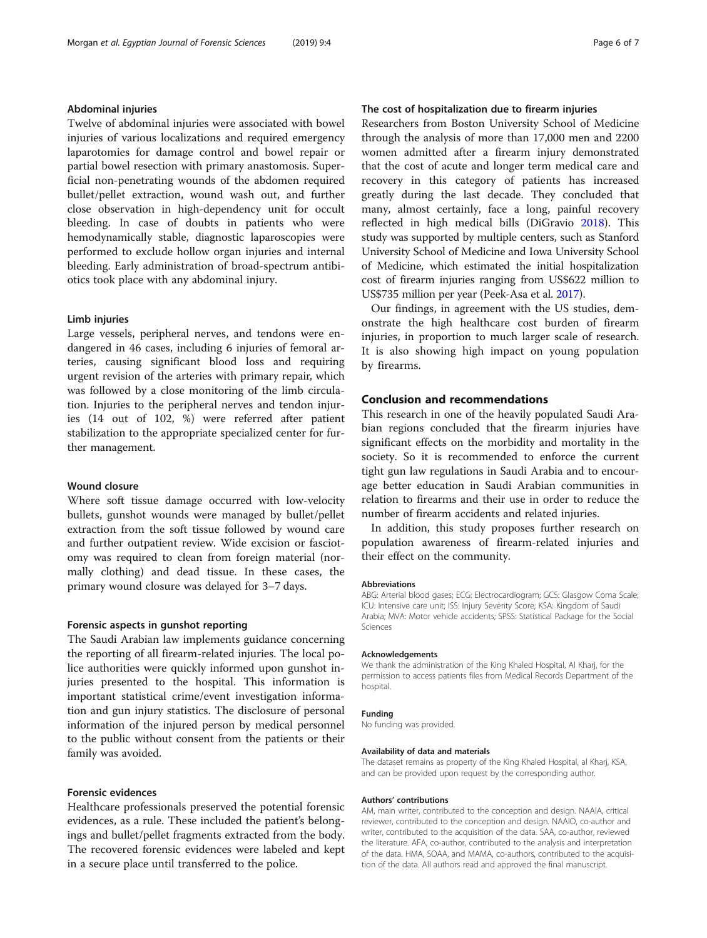## Abdominal injuries

Twelve of abdominal injuries were associated with bowel injuries of various localizations and required emergency laparotomies for damage control and bowel repair or partial bowel resection with primary anastomosis. Superficial non-penetrating wounds of the abdomen required bullet/pellet extraction, wound wash out, and further close observation in high-dependency unit for occult bleeding. In case of doubts in patients who were hemodynamically stable, diagnostic laparoscopies were performed to exclude hollow organ injuries and internal bleeding. Early administration of broad-spectrum antibiotics took place with any abdominal injury.

#### Limb injuries

Large vessels, peripheral nerves, and tendons were endangered in 46 cases, including 6 injuries of femoral arteries, causing significant blood loss and requiring urgent revision of the arteries with primary repair, which was followed by a close monitoring of the limb circulation. Injuries to the peripheral nerves and tendon injuries (14 out of 102, %) were referred after patient stabilization to the appropriate specialized center for further management.

### Wound closure

Where soft tissue damage occurred with low-velocity bullets, gunshot wounds were managed by bullet/pellet extraction from the soft tissue followed by wound care and further outpatient review. Wide excision or fasciotomy was required to clean from foreign material (normally clothing) and dead tissue. In these cases, the primary wound closure was delayed for 3–7 days.

## Forensic aspects in gunshot reporting

The Saudi Arabian law implements guidance concerning the reporting of all firearm-related injuries. The local police authorities were quickly informed upon gunshot injuries presented to the hospital. This information is important statistical crime/event investigation information and gun injury statistics. The disclosure of personal information of the injured person by medical personnel to the public without consent from the patients or their family was avoided.

#### Forensic evidences

Healthcare professionals preserved the potential forensic evidences, as a rule. These included the patient's belongings and bullet/pellet fragments extracted from the body. The recovered forensic evidences were labeled and kept in a secure place until transferred to the police.

## The cost of hospitalization due to firearm injuries

Researchers from Boston University School of Medicine through the analysis of more than 17,000 men and 2200 women admitted after a firearm injury demonstrated that the cost of acute and longer term medical care and recovery in this category of patients has increased greatly during the last decade. They concluded that many, almost certainly, face a long, painful recovery reflected in high medical bills (DiGravio [2018](#page-6-0)). This study was supported by multiple centers, such as Stanford University School of Medicine and Iowa University School of Medicine, which estimated the initial hospitalization cost of firearm injuries ranging from US\$622 million to US\$735 million per year (Peek-Asa et al. [2017](#page-6-0)).

Our findings, in agreement with the US studies, demonstrate the high healthcare cost burden of firearm injuries, in proportion to much larger scale of research. It is also showing high impact on young population by firearms.

## Conclusion and recommendations

This research in one of the heavily populated Saudi Arabian regions concluded that the firearm injuries have significant effects on the morbidity and mortality in the society. So it is recommended to enforce the current tight gun law regulations in Saudi Arabia and to encourage better education in Saudi Arabian communities in relation to firearms and their use in order to reduce the number of firearm accidents and related injuries.

In addition, this study proposes further research on population awareness of firearm-related injuries and their effect on the community.

#### Abbreviations

ABG: Arterial blood gases; ECG: Electrocardiogram; GCS: Glasgow Coma Scale; ICU: Intensive care unit; ISS: Injury Severity Score; KSA: Kingdom of Saudi Arabia; MVA: Motor vehicle accidents; SPSS: Statistical Package for the Social Sciences

#### Acknowledgements

We thank the administration of the King Khaled Hospital, Al Kharj, for the permission to access patients files from Medical Records Department of the hospital.

#### Funding

No funding was provided.

#### Availability of data and materials

The dataset remains as property of the King Khaled Hospital, al Kharj, KSA, and can be provided upon request by the corresponding author.

#### Authors' contributions

AM, main writer, contributed to the conception and design. NAAlA, critical reviewer, contributed to the conception and design. NAAlO, co-author and writer, contributed to the acquisition of the data. SAA, co-author, reviewed the literature. AFA, co-author, contributed to the analysis and interpretation of the data. HMA, SOAA, and MAMA, co-authors, contributed to the acquisition of the data. All authors read and approved the final manuscript.